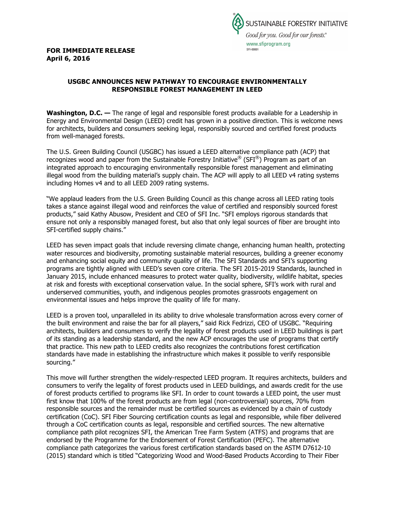**FOR IMMEDIATE RELEASE April 6, 2016**



## **USGBC ANNOUNCES NEW PATHWAY TO ENCOURAGE ENVIRONMENTALLY RESPONSIBLE FOREST MANAGEMENT IN LEED**

**Washington, D.C. —** The range of legal and responsible forest products available for a Leadership in Energy and Environmental Design (LEED) credit has grown in a positive direction. This is welcome news for architects, builders and consumers seeking legal, responsibly sourced and certified forest products from well-managed forests.

The U.S. Green Building Council (USGBC) has issued a LEED alternative compliance path (ACP) that recognizes wood and paper from the Sustainable Forestry Initiative® (SFI®) Program as part of an integrated approach to encouraging environmentally responsible forest management and eliminating illegal wood from the building material's supply chain. The ACP will apply to all LEED v4 rating systems including Homes v4 and to all LEED 2009 rating systems.

"We applaud leaders from the U.S. Green Building Council as this change across all LEED rating tools takes a stance against illegal wood and reinforces the value of certified and responsibly sourced forest products," said Kathy Abusow, President and CEO of SFI Inc. "SFI employs rigorous standards that ensure not only a responsibly managed forest, but also that only legal sources of fiber are brought into SFI-certified supply chains."

LEED has seven impact goals that include reversing climate change, enhancing human health, protecting water resources and biodiversity, promoting sustainable material resources, building a greener economy and enhancing social equity and community quality of life. The SFI Standards and SFI's supporting programs are tightly aligned with LEED's seven core criteria. The SFI 2015-2019 Standards, launched in January 2015, include enhanced measures to protect water quality, biodiversity, wildlife habitat, species at risk and forests with exceptional conservation value. In the social sphere, SFI's work with rural and underserved communities, youth, and indigenous peoples promotes grassroots engagement on environmental issues and helps improve the quality of life for many.

LEED is a proven tool, unparalleled in its ability to drive wholesale transformation across every corner of the built environment and raise the bar for all players," said Rick Fedrizzi, CEO of USGBC. "Requiring architects, builders and consumers to verify the legality of forest products used in LEED buildings is part of its standing as a leadership standard, and the new ACP encourages the use of programs that certify that practice. This new path to LEED credits also recognizes the contributions forest certification standards have made in establishing the infrastructure which makes it possible to verify responsible sourcing."

This move will further strengthen the widely-respected LEED program. It requires architects, builders and consumers to verify the legality of forest products used in LEED buildings, and awards credit for the use of forest products certified to programs like SFI. In order to count towards a LEED point, the user must first know that 100% of the forest products are from legal (non-controversial) sources, 70% from responsible sources and the remainder must be certified sources as evidenced by a chain of custody certification (CoC). SFI Fiber Sourcing certification counts as legal and responsible, while fiber delivered through a CoC certification counts as legal, responsible and certified sources. The new alternative compliance path pilot recognizes SFI, the American Tree Farm System (ATFS) and programs that are endorsed by the Programme for the Endorsement of Forest Certification (PEFC). The alternative compliance path categorizes the various forest certification standards based on the ASTM D7612-10 (2015) standard which is titled "Categorizing Wood and Wood-Based Products According to Their Fiber